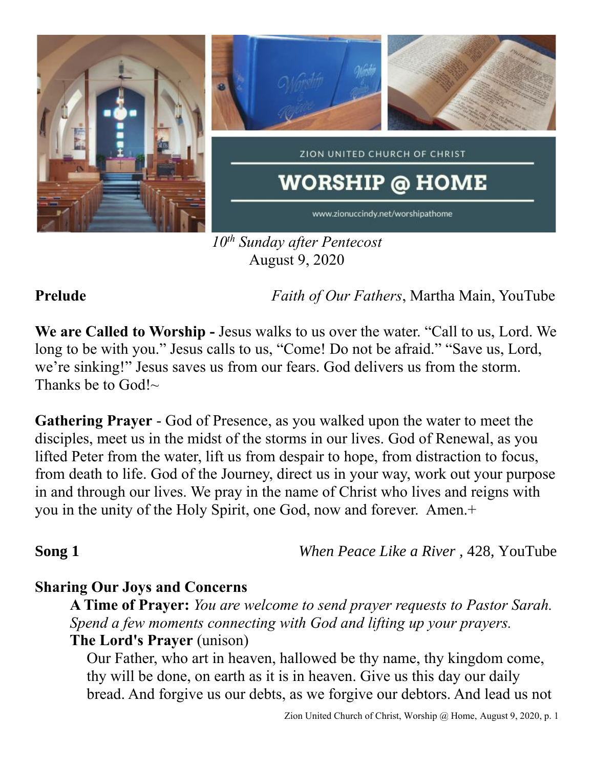

*10th Sunday after Pentecost* August 9, 2020

**Prelude** *Faith of Our Fathers*, Martha Main, YouTube

**We are Called to Worship -** Jesus walks to us over the water. "Call to us, Lord. We long to be with you." Jesus calls to us, "Come! Do not be afraid." "Save us, Lord, we're sinking!" Jesus saves us from our fears. God delivers us from the storm. Thanks be to  $God!~\sim$ 

**Gathering Prayer** - God of Presence, as you walked upon the water to meet the disciples, meet us in the midst of the storms in our lives. God of Renewal, as you lifted Peter from the water, lift us from despair to hope, from distraction to focus, from death to life. God of the Journey, direct us in your way, work out your purpose in and through our lives. We pray in the name of Christ who lives and reigns with you in the unity of the Holy Spirit, one God, now and forever. Amen.+

**Song 1** *When Peace Like a River*, 428, YouTube

## **Sharing Our Joys and Concerns**

**A Time of Prayer:** *You are welcome to send prayer requests to Pastor Sarah. Spend a few moments connecting with God and lifting up your prayers.* **The Lord's Prayer** (unison)

Our Father, who art in heaven, hallowed be thy name, thy kingdom come, thy will be done, on earth as it is in heaven. Give us this day our daily bread. And forgive us our debts, as we forgive our debtors. And lead us not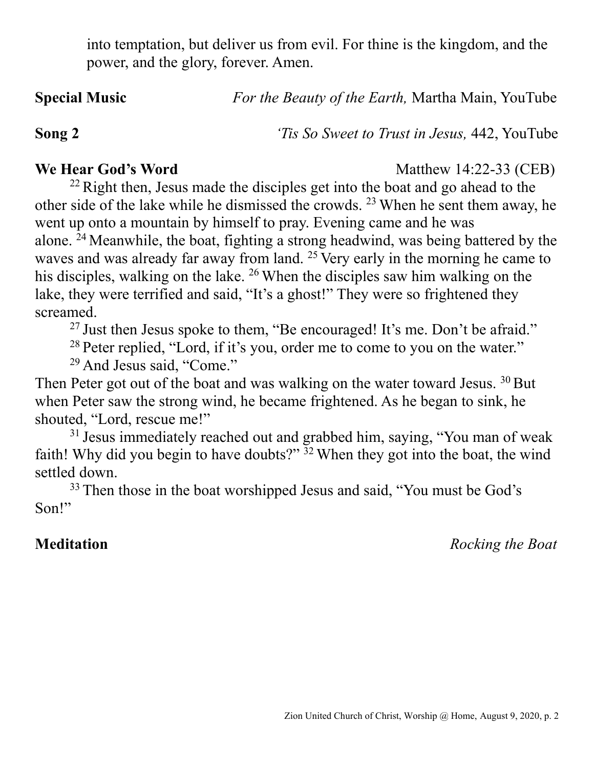into temptation, but deliver us from evil. For thine is the kingdom, and the power, and the glory, forever. Amen.

**Special Music** *For the Beauty of the Earth,* Martha Main, YouTube

**Song 2** *'Tis So Sweet to Trust in Jesus,* 442, YouTube

**We Hear God's Word** Matthew 14:22-33 (CEB)

 $22$  Right then, Jesus made the disciples get into the boat and go ahead to the other side of the lake while he dismissed the crowds. <sup>23</sup> When he sent them away, he went up onto a mountain by himself to pray. Evening came and he was alone. <sup>24</sup> Meanwhile, the boat, fighting a strong headwind, was being battered by the waves and was already far away from land. <sup>25</sup> Very early in the morning he came to his disciples, walking on the lake. <sup>26</sup> When the disciples saw him walking on the lake, they were terrified and said, "It's a ghost!" They were so frightened they screamed.

<sup>27</sup> Just then Jesus spoke to them, "Be encouraged! It's me. Don't be afraid."

<sup>28</sup> Peter replied, "Lord, if it's you, order me to come to you on the water."

<sup>29</sup> And Jesus said, "Come."

Then Peter got out of the boat and was walking on the water toward Jesus.  $30$  But when Peter saw the strong wind, he became frightened. As he began to sink, he shouted, "Lord, rescue me!"

<sup>31</sup> Jesus immediately reached out and grabbed him, saying, "You man of weak faith! Why did you begin to have doubts?" <sup>32</sup> When they got into the boat, the wind settled down.

<sup>33</sup> Then those in the boat worshipped Jesus and said, "You must be God's Son!"

**Meditation** *Rocking the Boat*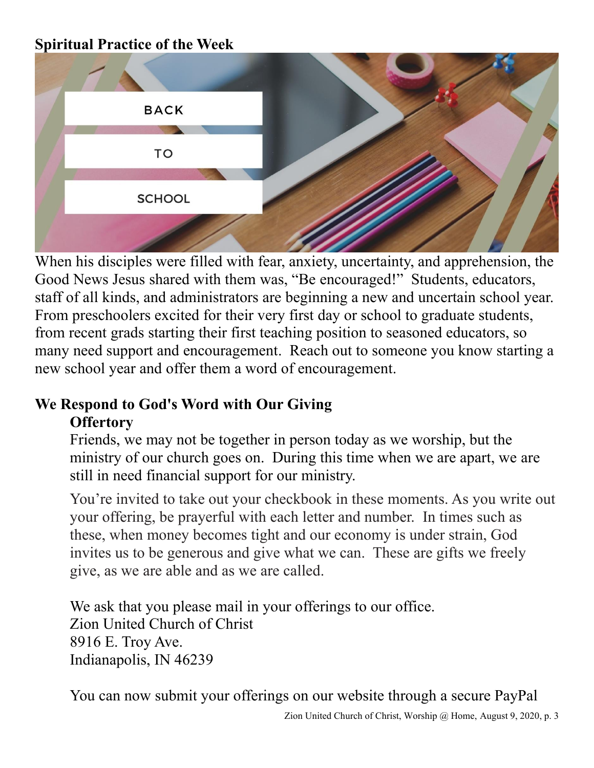## **Spiritual Practice of the Week**



When his disciples were filled with fear, anxiety, uncertainty, and apprehension, the Good News Jesus shared with them was, "Be encouraged!" Students, educators, staff of all kinds, and administrators are beginning a new and uncertain school year. From preschoolers excited for their very first day or school to graduate students, from recent grads starting their first teaching position to seasoned educators, so many need support and encouragement. Reach out to someone you know starting a new school year and offer them a word of encouragement.

# **We Respond to God's Word with Our Giving Offertory**

Friends, we may not be together in person today as we worship, but the ministry of our church goes on. During this time when we are apart, we are still in need financial support for our ministry.

You're invited to take out your checkbook in these moments. As you write out your offering, be prayerful with each letter and number. In times such as these, when money becomes tight and our economy is under strain, God invites us to be generous and give what we can. These are gifts we freely give, as we are able and as we are called.

We ask that you please mail in your offerings to our office. Zion United Church of Christ 8916 E. Troy Ave. Indianapolis, IN 46239

You can now submit your offerings on our website through a secure PayPal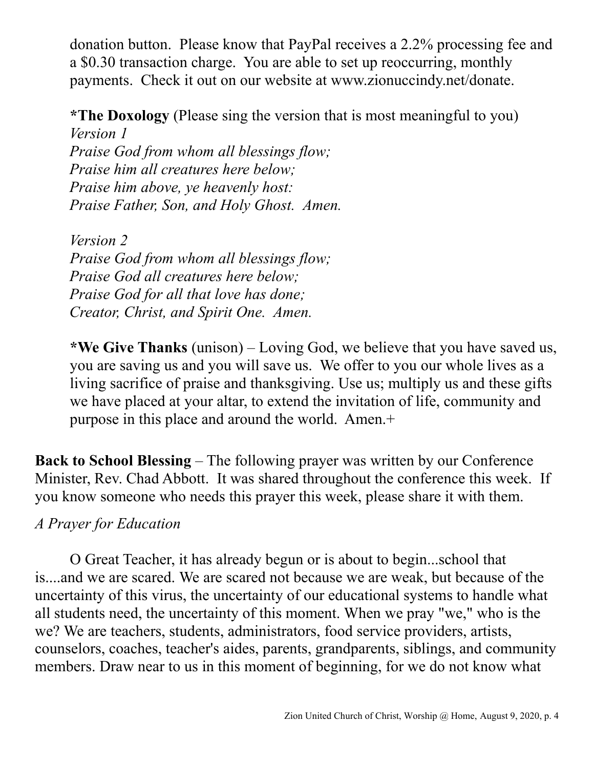donation button. Please know that PayPal receives a 2.2% processing fee and a \$0.30 transaction charge. You are able to set up reoccurring, monthly payments. Check it out on our website at www.zionuccindy.net/donate.

**\*The Doxology** (Please sing the version that is most meaningful to you) *Version 1*

*Praise God from whom all blessings flow; Praise him all creatures here below; Praise him above, ye heavenly host: Praise Father, Son, and Holy Ghost. Amen.*

*Version 2 Praise God from whom all blessings flow; Praise God all creatures here below; Praise God for all that love has done; Creator, Christ, and Spirit One. Amen.* 

**\*We Give Thanks** (unison) – Loving God, we believe that you have saved us, you are saving us and you will save us. We offer to you our whole lives as a living sacrifice of praise and thanksgiving. Use us; multiply us and these gifts we have placed at your altar, to extend the invitation of life, community and purpose in this place and around the world. Amen.+

**Back to School Blessing** – The following prayer was written by our Conference Minister, Rev. Chad Abbott. It was shared throughout the conference this week. If you know someone who needs this prayer this week, please share it with them.

## *A Prayer for Education*

O Great Teacher, it has already begun or is about to begin...school that is....and we are scared. We are scared not because we are weak, but because of the uncertainty of this virus, the uncertainty of our educational systems to handle what all students need, the uncertainty of this moment. When we pray "we," who is the we? We are teachers, students, administrators, food service providers, artists, counselors, coaches, teacher's aides, parents, grandparents, siblings, and community members. Draw near to us in this moment of beginning, for we do not know what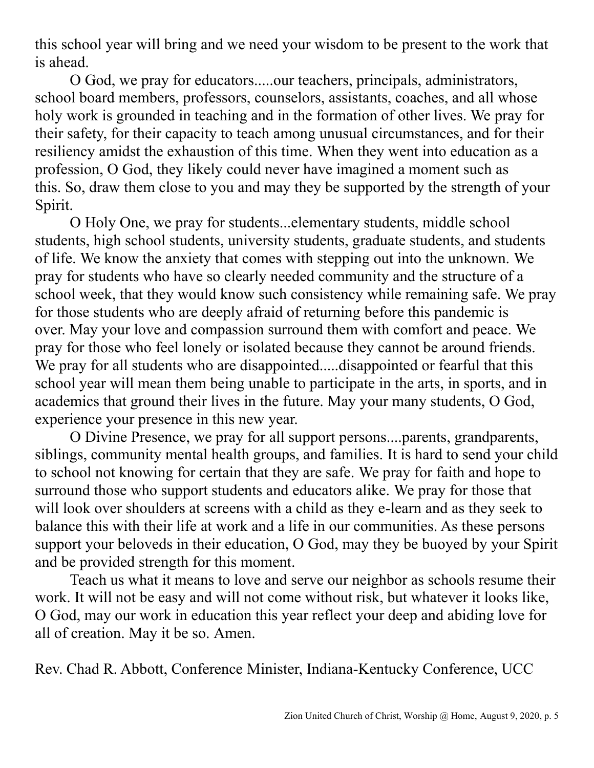this school year will bring and we need your wisdom to be present to the work that is ahead.

O God, we pray for educators.....our teachers, principals, administrators, school board members, professors, counselors, assistants, coaches, and all whose holy work is grounded in teaching and in the formation of other lives. We pray for their safety, for their capacity to teach among unusual circumstances, and for their resiliency amidst the exhaustion of this time. When they went into education as a profession, O God, they likely could never have imagined a moment such as this. So, draw them close to you and may they be supported by the strength of your Spirit.

O Holy One, we pray for students...elementary students, middle school students, high school students, university students, graduate students, and students of life. We know the anxiety that comes with stepping out into the unknown. We pray for students who have so clearly needed community and the structure of a school week, that they would know such consistency while remaining safe. We pray for those students who are deeply afraid of returning before this pandemic is over. May your love and compassion surround them with comfort and peace. We pray for those who feel lonely or isolated because they cannot be around friends. We pray for all students who are disappointed.....disappointed or fearful that this school year will mean them being unable to participate in the arts, in sports, and in academics that ground their lives in the future. May your many students, O God, experience your presence in this new year.

O Divine Presence, we pray for all support persons....parents, grandparents, siblings, community mental health groups, and families. It is hard to send your child to school not knowing for certain that they are safe. We pray for faith and hope to surround those who support students and educators alike. We pray for those that will look over shoulders at screens with a child as they e-learn and as they seek to balance this with their life at work and a life in our communities. As these persons support your beloveds in their education, O God, may they be buoyed by your Spirit and be provided strength for this moment.

Teach us what it means to love and serve our neighbor as schools resume their work. It will not be easy and will not come without risk, but whatever it looks like, O God, may our work in education this year reflect your deep and abiding love for all of creation. May it be so. Amen.

Rev. Chad R. Abbott, Conference Minister, Indiana-Kentucky Conference, UCC